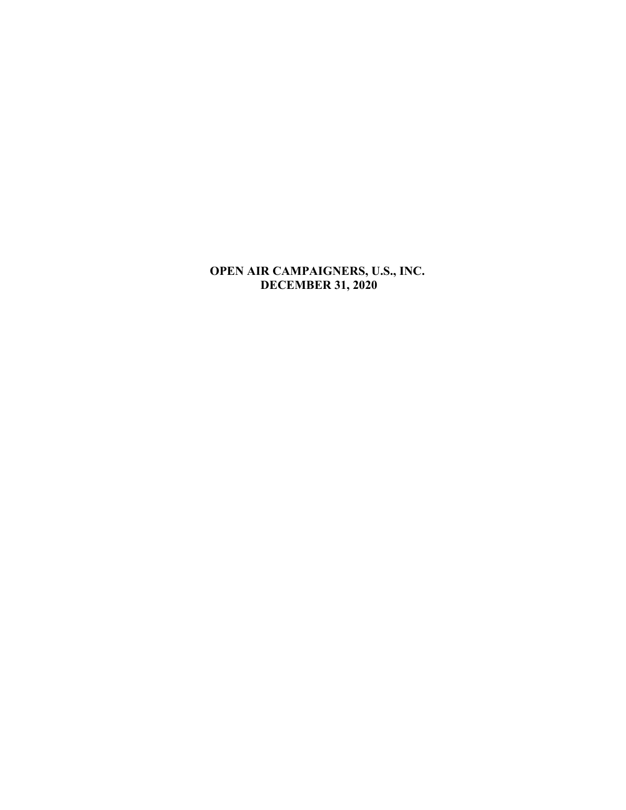# **OPEN AIR CAMPAIGNERS, U.S., INC. DECEMBER 31, 2020**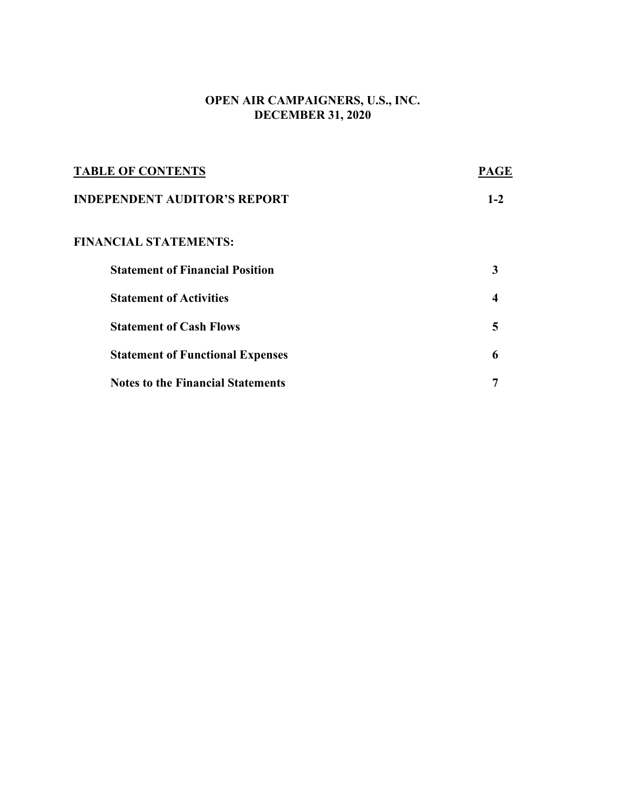# **OPEN AIR CAMPAIGNERS, U.S., INC. DECEMBER 31, 2020**

| <b>TABLE OF CONTENTS</b>                 | PAGE    |
|------------------------------------------|---------|
| <b>INDEPENDENT AUDITOR'S REPORT</b>      | $1 - 2$ |
| <b>FINANCIAL STATEMENTS:</b>             |         |
| <b>Statement of Financial Position</b>   | 3       |
| <b>Statement of Activities</b>           | 4       |
| <b>Statement of Cash Flows</b>           | 5       |
| <b>Statement of Functional Expenses</b>  | 6       |
| <b>Notes to the Financial Statements</b> |         |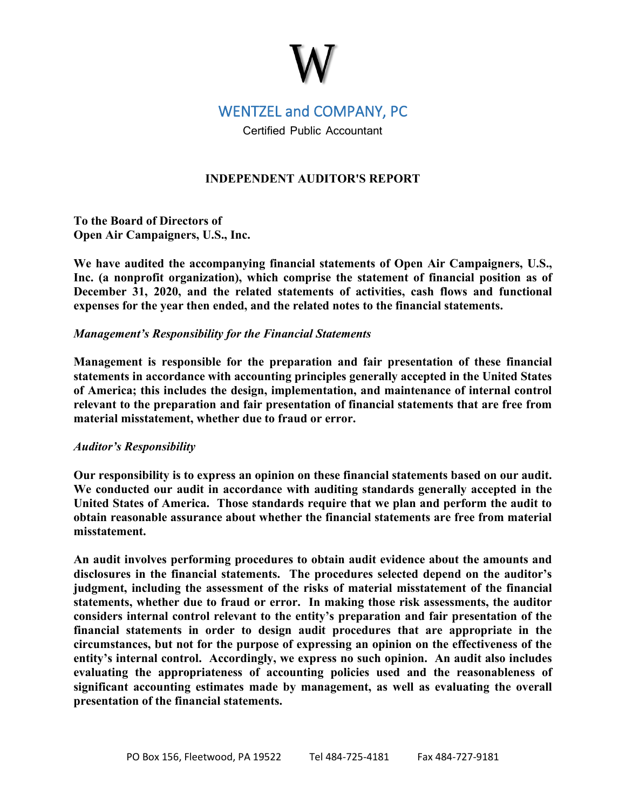# WENTZEL and COMPANY, PC

Certified Public Accountant

# **INDEPENDENT AUDITOR'S REPORT**

**To the Board of Directors of Open Air Campaigners, U.S., Inc.**

**We have audited the accompanying financial statements of Open Air Campaigners, U.S., Inc. (a nonprofit organization), which comprise the statement of financial position as of December 31, 2020, and the related statements of activities, cash flows and functional expenses for the year then ended, and the related notes to the financial statements.** 

# *Management's Responsibility for the Financial Statements*

**Management is responsible for the preparation and fair presentation of these financial statements in accordance with accounting principles generally accepted in the United States of America; this includes the design, implementation, and maintenance of internal control relevant to the preparation and fair presentation of financial statements that are free from material misstatement, whether due to fraud or error.**

# *Auditor's Responsibility*

**Our responsibility is to express an opinion on these financial statements based on our audit. We conducted our audit in accordance with auditing standards generally accepted in the United States of America. Those standards require that we plan and perform the audit to obtain reasonable assurance about whether the financial statements are free from material misstatement.** 

**An audit involves performing procedures to obtain audit evidence about the amounts and disclosures in the financial statements. The procedures selected depend on the auditor's judgment, including the assessment of the risks of material misstatement of the financial statements, whether due to fraud or error. In making those risk assessments, the auditor considers internal control relevant to the entity's preparation and fair presentation of the financial statements in order to design audit procedures that are appropriate in the circumstances, but not for the purpose of expressing an opinion on the effectiveness of the entity's internal control. Accordingly, we express no such opinion. An audit also includes evaluating the appropriateness of accounting policies used and the reasonableness of significant accounting estimates made by management, as well as evaluating the overall presentation of the financial statements.**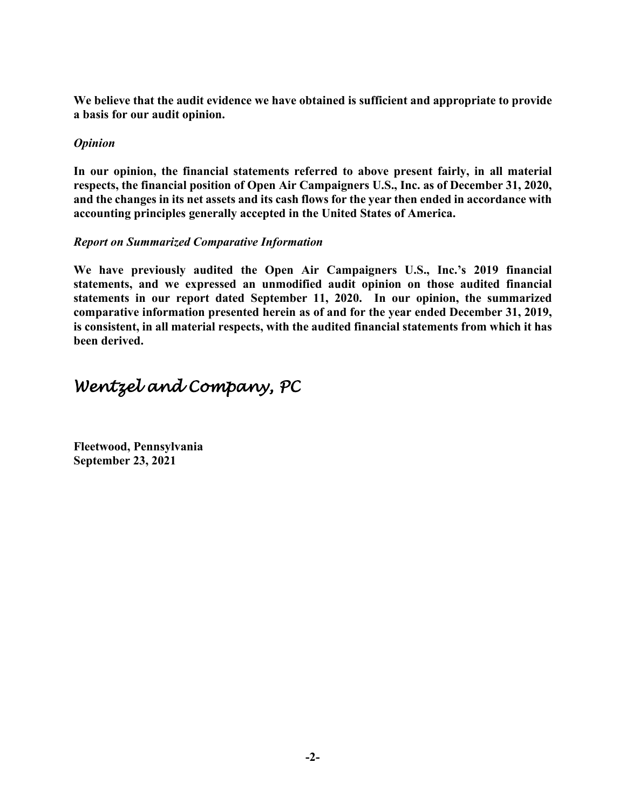**We believe that the audit evidence we have obtained is sufficient and appropriate to provide a basis for our audit opinion.**

# *Opinion*

**In our opinion, the financial statements referred to above present fairly, in all material respects, the financial position of Open Air Campaigners U.S., Inc. as of December 31, 2020, and the changes in its net assets and its cash flows for the year then ended in accordance with accounting principles generally accepted in the United States of America.**

# *Report on Summarized Comparative Information*

**We have previously audited the Open Air Campaigners U.S., Inc.'s 2019 financial statements, and we expressed an unmodified audit opinion on those audited financial statements in our report dated September 11, 2020. In our opinion, the summarized comparative information presented herein as of and for the year ended December 31, 2019, is consistent, in all material respects, with the audited financial statements from which it has been derived.**

# *Wentzel and Company, PC*

**Fleetwood, Pennsylvania September 23, 2021**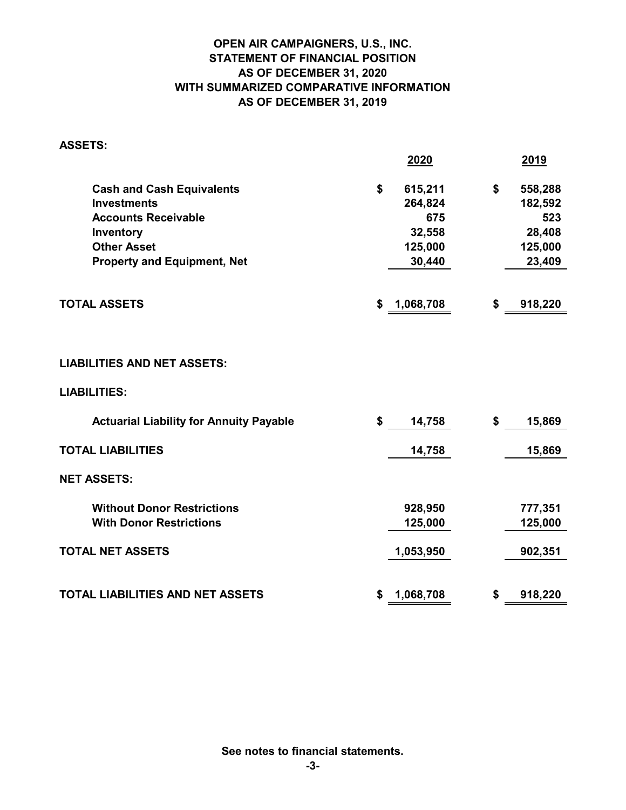# **OPEN AIR CAMPAIGNERS, U.S., INC. STATEMENT OF FINANCIAL POSITION AS OF DECEMBER 31, 2020 WITH SUMMARIZED COMPARATIVE INFORMATION AS OF DECEMBER 31, 2019**

| <b>ASSETS:</b>                                 |                 |               |
|------------------------------------------------|-----------------|---------------|
|                                                | 2020            | <u>2019</u>   |
| <b>Cash and Cash Equivalents</b>               | \$<br>615,211   | \$<br>558,288 |
| <b>Investments</b>                             | 264,824         | 182,592       |
| <b>Accounts Receivable</b>                     | 675             | 523           |
| Inventory                                      | 32,558          | 28,408        |
| <b>Other Asset</b>                             | 125,000         | 125,000       |
| <b>Property and Equipment, Net</b>             | 30,440          | 23,409        |
|                                                |                 |               |
| <b>TOTAL ASSETS</b>                            | \$<br>1,068,708 | \$<br>918,220 |
|                                                |                 |               |
| <b>LIABILITIES AND NET ASSETS:</b>             |                 |               |
| <b>LIABILITIES:</b>                            |                 |               |
| <b>Actuarial Liability for Annuity Payable</b> | \$<br>14,758    | \$<br>15,869  |
| <b>TOTAL LIABILITIES</b>                       | 14,758          | 15,869        |
| <b>NET ASSETS:</b>                             |                 |               |
| <b>Without Donor Restrictions</b>              | 928,950         | 777,351       |
| <b>With Donor Restrictions</b>                 | 125,000         | 125,000       |
| <b>TOTAL NET ASSETS</b>                        | 1,053,950       | 902,351       |
|                                                |                 |               |
| <b>TOTAL LIABILITIES AND NET ASSETS</b>        | \$<br>1,068,708 | \$<br>918,220 |

**See notes to financial statements.**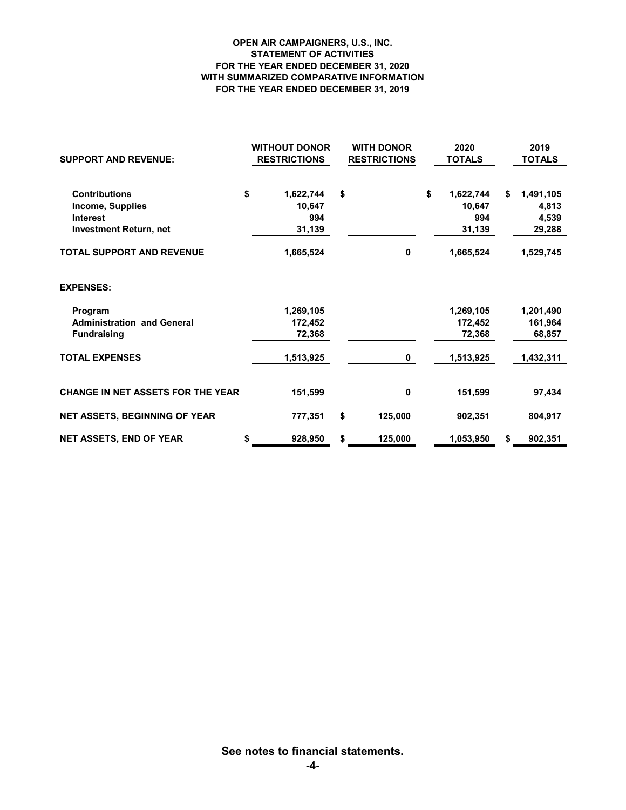#### **OPEN AIR CAMPAIGNERS, U.S., INC. STATEMENT OF ACTIVITIES FOR THE YEAR ENDED DECEMBER 31, 2020 WITH SUMMARIZED COMPARATIVE INFORMATION FOR THE YEAR ENDED DECEMBER 31, 2019**

| <b>SUPPORT AND REVENUE:</b>              | <b>WITHOUT DONOR</b><br><b>RESTRICTIONS</b> | <b>WITH DONOR</b><br><b>RESTRICTIONS</b> | 2020<br><b>TOTALS</b> | 2019<br><b>TOTALS</b> |
|------------------------------------------|---------------------------------------------|------------------------------------------|-----------------------|-----------------------|
| <b>Contributions</b>                     | \$<br>1,622,744                             | \$                                       | \$<br>1,622,744       | \$<br>1,491,105       |
| Income, Supplies                         | 10.647                                      |                                          | 10,647                | 4,813                 |
| <b>Interest</b>                          | 994                                         |                                          | 994                   | 4,539                 |
| <b>Investment Return, net</b>            | 31,139                                      |                                          | 31,139                | 29,288                |
| TOTAL SUPPORT AND REVENUE                | 1,665,524                                   | 0                                        | 1,665,524             | 1,529,745             |
| <b>EXPENSES:</b>                         |                                             |                                          |                       |                       |
| Program                                  | 1,269,105                                   |                                          | 1,269,105             | 1,201,490             |
| <b>Administration and General</b>        | 172.452                                     |                                          | 172,452               | 161,964               |
| <b>Fundraising</b>                       | 72,368                                      |                                          | 72,368                | 68,857                |
| <b>TOTAL EXPENSES</b>                    | 1,513,925                                   | 0                                        | 1,513,925             | 1,432,311             |
| <b>CHANGE IN NET ASSETS FOR THE YEAR</b> | 151,599                                     | 0                                        | 151,599               | 97,434                |
| <b>NET ASSETS, BEGINNING OF YEAR</b>     | 777,351                                     | \$<br>125,000                            | 902,351               | 804,917               |
| <b>NET ASSETS, END OF YEAR</b>           | 928,950<br>S                                | \$<br>125,000                            | 1,053,950             | \$<br>902,351         |

**See notes to financial statements.**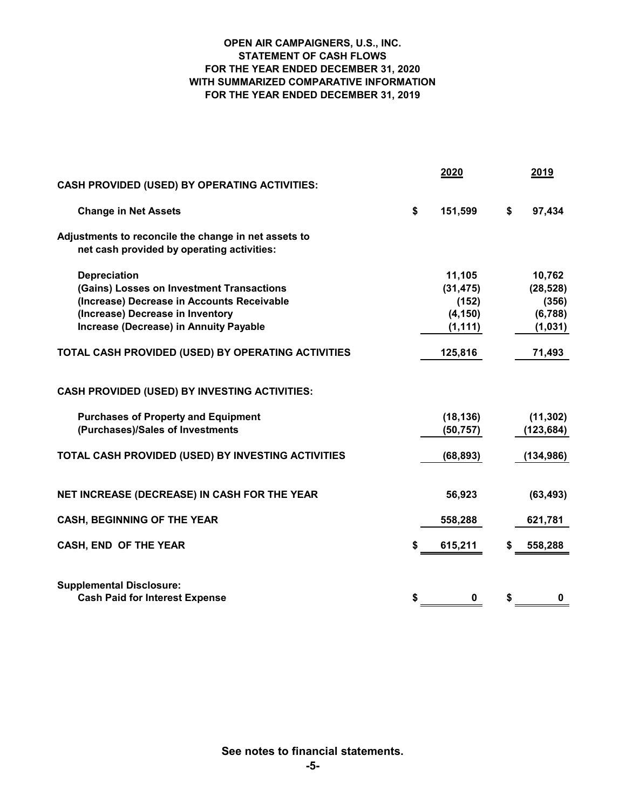#### **OPEN AIR CAMPAIGNERS, U.S., INC. STATEMENT OF CASH FLOWS FOR THE YEAR ENDED DECEMBER 31, 2020 WITH SUMMARIZED COMPARATIVE INFORMATION FOR THE YEAR ENDED DECEMBER 31, 2019**

| <b>CASH PROVIDED (USED) BY OPERATING ACTIVITIES:</b>                                                                                                                                                | 2020                                                 |    | 2019                                               |
|-----------------------------------------------------------------------------------------------------------------------------------------------------------------------------------------------------|------------------------------------------------------|----|----------------------------------------------------|
| <b>Change in Net Assets</b>                                                                                                                                                                         | \$<br>151,599                                        | \$ | 97,434                                             |
| Adjustments to reconcile the change in net assets to<br>net cash provided by operating activities:                                                                                                  |                                                      |    |                                                    |
| <b>Depreciation</b><br>(Gains) Losses on Investment Transactions<br>(Increase) Decrease in Accounts Receivable<br>(Increase) Decrease in Inventory<br><b>Increase (Decrease) in Annuity Payable</b> | 11,105<br>(31, 475)<br>(152)<br>(4, 150)<br>(1, 111) |    | 10,762<br>(28, 528)<br>(356)<br>(6,788)<br>(1,031) |
| TOTAL CASH PROVIDED (USED) BY OPERATING ACTIVITIES                                                                                                                                                  | 125,816                                              |    | 71,493                                             |
| <b>CASH PROVIDED (USED) BY INVESTING ACTIVITIES:</b>                                                                                                                                                |                                                      |    |                                                    |
| <b>Purchases of Property and Equipment</b><br>(Purchases)/Sales of Investments                                                                                                                      | (18, 136)<br>(50, 757)                               |    | (11, 302)<br>(123, 684)                            |
| TOTAL CASH PROVIDED (USED) BY INVESTING ACTIVITIES                                                                                                                                                  | (68, 893)                                            |    | (134, 986)                                         |
| NET INCREASE (DECREASE) IN CASH FOR THE YEAR                                                                                                                                                        | 56,923                                               |    | (63, 493)                                          |
| <b>CASH, BEGINNING OF THE YEAR</b>                                                                                                                                                                  | 558,288                                              |    | 621,781                                            |
| CASH, END OF THE YEAR                                                                                                                                                                               | \$<br>615,211                                        | S  | 558,288                                            |
| <b>Supplemental Disclosure:</b><br><b>Cash Paid for Interest Expense</b>                                                                                                                            | \$<br>0                                              | \$ | 0                                                  |

**See notes to financial statements.**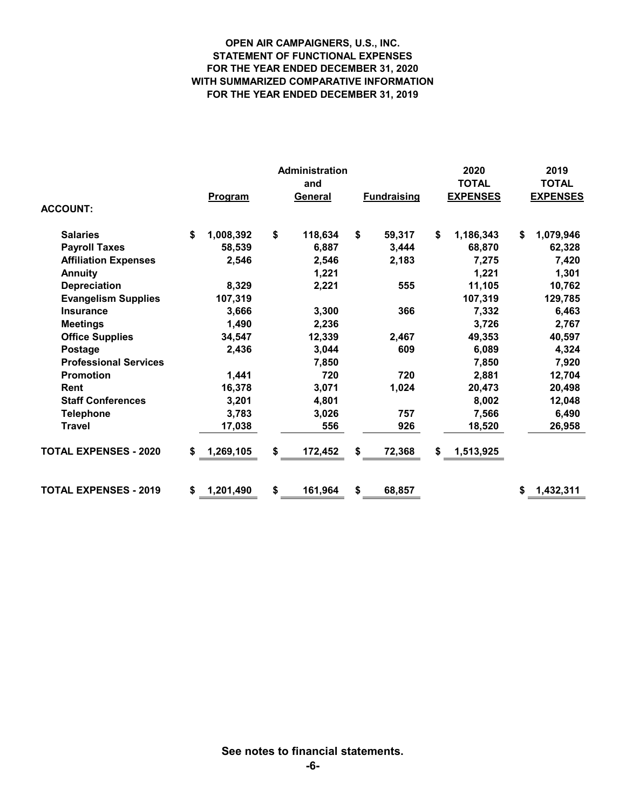#### **OPEN AIR CAMPAIGNERS, U.S., INC. STATEMENT OF FUNCTIONAL EXPENSES FOR THE YEAR ENDED DECEMBER 31, 2020 WITH SUMMARIZED COMPARATIVE INFORMATION FOR THE YEAR ENDED DECEMBER 31, 2019**

|                              |                 | Administration | 2020               | 2019            |                 |  |
|------------------------------|-----------------|----------------|--------------------|-----------------|-----------------|--|
|                              |                 | and            |                    | <b>TOTAL</b>    | <b>TOTAL</b>    |  |
|                              | Program         | <b>General</b> | <b>Fundraising</b> | <b>EXPENSES</b> | <b>EXPENSES</b> |  |
| <b>ACCOUNT:</b>              |                 |                |                    |                 |                 |  |
| <b>Salaries</b>              | \$<br>1,008,392 | \$<br>118,634  | \$<br>59,317       | \$<br>1,186,343 | \$<br>1,079,946 |  |
| <b>Payroll Taxes</b>         | 58,539          | 6,887          | 3,444              | 68,870          | 62,328          |  |
| <b>Affiliation Expenses</b>  | 2,546           | 2,546          | 2,183              | 7,275           | 7,420           |  |
| <b>Annuity</b>               |                 | 1,221          |                    | 1,221           | 1,301           |  |
| <b>Depreciation</b>          | 8,329           | 2,221          | 555                | 11,105          | 10,762          |  |
| <b>Evangelism Supplies</b>   | 107,319         |                |                    | 107,319         | 129,785         |  |
| <b>Insurance</b>             | 3,666           | 3,300          | 366                | 7,332           | 6,463           |  |
| <b>Meetings</b>              | 1,490           | 2,236          |                    | 3,726           | 2,767           |  |
| <b>Office Supplies</b>       | 34,547          | 12,339         | 2,467              | 49,353          | 40,597          |  |
| Postage                      | 2,436           | 3,044          | 609                | 6,089           | 4,324           |  |
| <b>Professional Services</b> |                 | 7,850          |                    | 7,850           | 7,920           |  |
| <b>Promotion</b>             | 1,441           | 720            | 720                | 2,881           | 12,704          |  |
| <b>Rent</b>                  | 16,378          | 3,071          | 1,024              | 20,473          | 20,498          |  |
| <b>Staff Conferences</b>     | 3,201           | 4,801          |                    | 8,002           | 12,048          |  |
| <b>Telephone</b>             | 3,783           | 3,026          | 757                | 7,566           | 6,490           |  |
| <b>Travel</b>                | 17,038          | 556            | 926                | 18,520          | 26,958          |  |
| <b>TOTAL EXPENSES - 2020</b> | 1,269,105<br>\$ | \$<br>172,452  | \$<br>72,368       | \$<br>1,513,925 |                 |  |
| <b>TOTAL EXPENSES - 2019</b> | 1,201,490<br>\$ | \$<br>161,964  | \$<br>68,857       |                 | 1,432,311<br>\$ |  |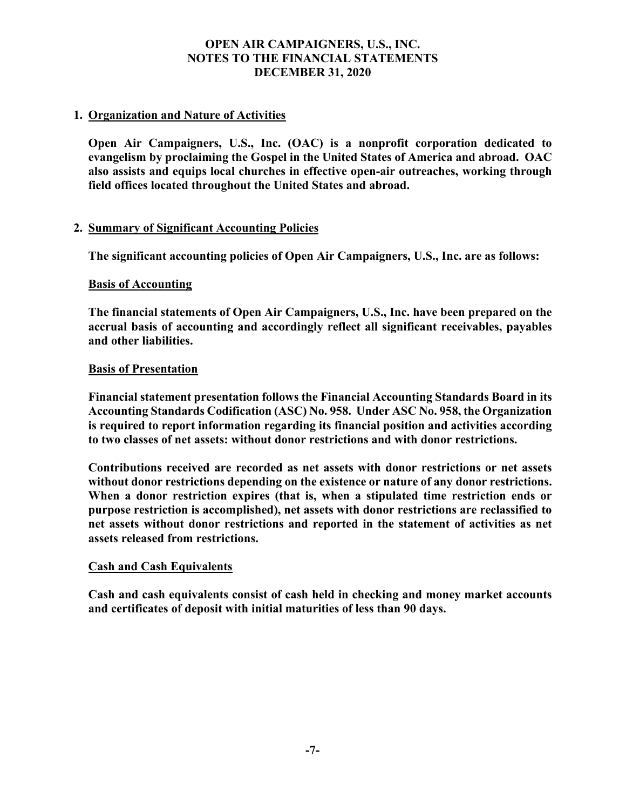# **1. Organization and Nature of Activities**

**Open Air Campaigners, U.S., Inc. (OAC) is a nonprofit corporation dedicated to evangelism by proclaiming the Gospel in the United States of America and abroad. OAC also assists and equips local churches in effective open-air outreaches, working through field offices located throughout the United States and abroad.**

# **2. Summary of Significant Accounting Policies**

**The significant accounting policies of Open Air Campaigners, U.S., Inc. are as follows:**

# **Basis of Accounting**

**The financial statements of Open Air Campaigners, U.S., Inc. have been prepared on the accrual basis of accounting and accordingly reflect all significant receivables, payables and other liabilities.**

# **Basis of Presentation**

**Financial statement presentation follows the Financial Accounting Standards Board in its Accounting Standards Codification (ASC) No. 958. Under ASC No. 958, the Organization is required to report information regarding its financial position and activities according to two classes of net assets: without donor restrictions and with donor restrictions.** 

**Contributions received are recorded as net assets with donor restrictions or net assets without donor restrictions depending on the existence or nature of any donor restrictions. When a donor restriction expires (that is, when a stipulated time restriction ends or purpose restriction is accomplished), net assets with donor restrictions are reclassified to net assets without donor restrictions and reported in the statement of activities as net assets released from restrictions.**

# **Cash and Cash Equivalents**

**Cash and cash equivalents consist of cash held in checking and money market accounts and certificates of deposit with initial maturities of less than 90 days.**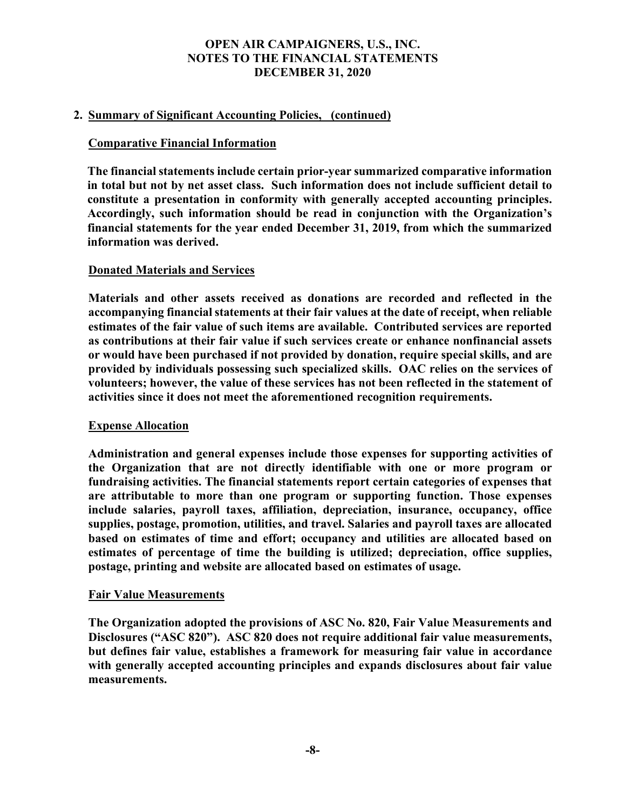# **2. Summary of Significant Accounting Policies, (continued)**

# **Comparative Financial Information**

**The financial statements include certain prior-year summarized comparative information in total but not by net asset class. Such information does not include sufficient detail to constitute a presentation in conformity with generally accepted accounting principles. Accordingly, such information should be read in conjunction with the Organization's financial statements for the year ended December 31, 2019, from which the summarized information was derived.**

# **Donated Materials and Services**

**Materials and other assets received as donations are recorded and reflected in the accompanying financial statements at their fair values at the date of receipt, when reliable estimates of the fair value of such items are available. Contributed services are reported as contributions at their fair value if such services create or enhance nonfinancial assets or would have been purchased if not provided by donation, require special skills, and are provided by individuals possessing such specialized skills. OAC relies on the services of volunteers; however, the value of these services has not been reflected in the statement of activities since it does not meet the aforementioned recognition requirements.**

# **Expense Allocation**

**Administration and general expenses include those expenses for supporting activities of the Organization that are not directly identifiable with one or more program or fundraising activities. The financial statements report certain categories of expenses that are attributable to more than one program or supporting function. Those expenses include salaries, payroll taxes, affiliation, depreciation, insurance, occupancy, office supplies, postage, promotion, utilities, and travel. Salaries and payroll taxes are allocated based on estimates of time and effort; occupancy and utilities are allocated based on estimates of percentage of time the building is utilized; depreciation, office supplies, postage, printing and website are allocated based on estimates of usage.**

# **Fair Value Measurements**

**The Organization adopted the provisions of ASC No. 820, Fair Value Measurements and Disclosures ("ASC 820"). ASC 820 does not require additional fair value measurements, but defines fair value, establishes a framework for measuring fair value in accordance with generally accepted accounting principles and expands disclosures about fair value measurements.**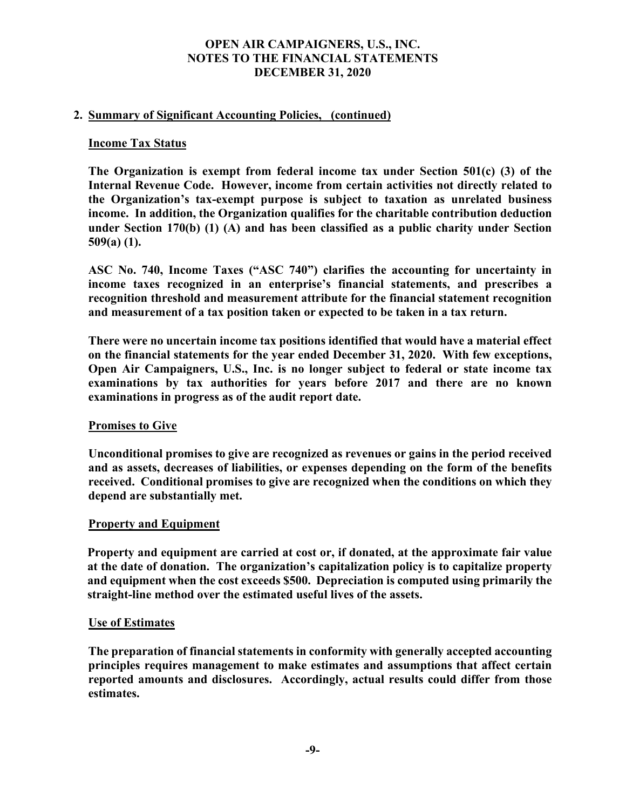# **2. Summary of Significant Accounting Policies, (continued)**

#### **Income Tax Status**

**The Organization is exempt from federal income tax under Section 501(c) (3) of the Internal Revenue Code. However, income from certain activities not directly related to the Organization's tax-exempt purpose is subject to taxation as unrelated business income. In addition, the Organization qualifies for the charitable contribution deduction under Section 170(b) (1) (A) and has been classified as a public charity under Section 509(a) (1).**

**ASC No. 740, Income Taxes ("ASC 740") clarifies the accounting for uncertainty in income taxes recognized in an enterprise's financial statements, and prescribes a recognition threshold and measurement attribute for the financial statement recognition and measurement of a tax position taken or expected to be taken in a tax return.**

**There were no uncertain income tax positions identified that would have a material effect on the financial statements for the year ended December 31, 2020. With few exceptions, Open Air Campaigners, U.S., Inc. is no longer subject to federal or state income tax examinations by tax authorities for years before 2017 and there are no known examinations in progress as of the audit report date.**

# **Promises to Give**

**Unconditional promises to give are recognized as revenues or gains in the period received and as assets, decreases of liabilities, or expenses depending on the form of the benefits received. Conditional promises to give are recognized when the conditions on which they depend are substantially met.**

#### **Property and Equipment**

**Property and equipment are carried at cost or, if donated, at the approximate fair value at the date of donation. The organization's capitalization policy is to capitalize property and equipment when the cost exceeds \$500. Depreciation is computed using primarily the straight-line method over the estimated useful lives of the assets.**

#### **Use of Estimates**

**The preparation of financial statements in conformity with generally accepted accounting principles requires management to make estimates and assumptions that affect certain reported amounts and disclosures. Accordingly, actual results could differ from those estimates.**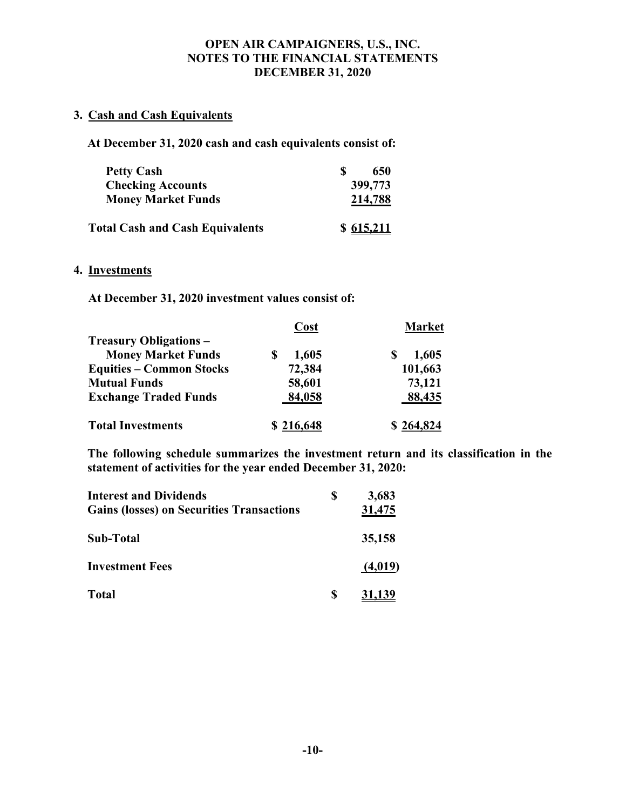# **3. Cash and Cash Equivalents**

**At December 31, 2020 cash and cash equivalents consist of:**

| <b>Petty Cash</b>                      | Ж | 650       |
|----------------------------------------|---|-----------|
| <b>Checking Accounts</b>               |   | 399,773   |
| <b>Money Market Funds</b>              |   | 214,788   |
| <b>Total Cash and Cash Equivalents</b> |   | \$615,211 |

# **4. Investments**

**At December 31, 2020 investment values consist of:**

|                                 | Cost      | <b>Market</b> |  |  |  |
|---------------------------------|-----------|---------------|--|--|--|
| <b>Treasury Obligations –</b>   |           |               |  |  |  |
| <b>Money Market Funds</b>       | 1,605     | 1,605         |  |  |  |
| <b>Equities – Common Stocks</b> | 72,384    | 101,663       |  |  |  |
| <b>Mutual Funds</b>             | 58,601    | 73,121        |  |  |  |
| <b>Exchange Traded Funds</b>    | 84,058    | 88,435        |  |  |  |
| <b>Total Investments</b>        | \$216,648 | \$264,824     |  |  |  |

**The following schedule summarizes the investment return and its classification in the statement of activities for the year ended December 31, 2020:**

| <b>Interest and Dividends</b>                    | 3,683         |
|--------------------------------------------------|---------------|
| <b>Gains (losses) on Securities Transactions</b> | <u>31,475</u> |
| Sub-Total                                        | 35,158        |
| <b>Investment Fees</b>                           | (4,019)       |
| <b>Total</b>                                     | 31,139        |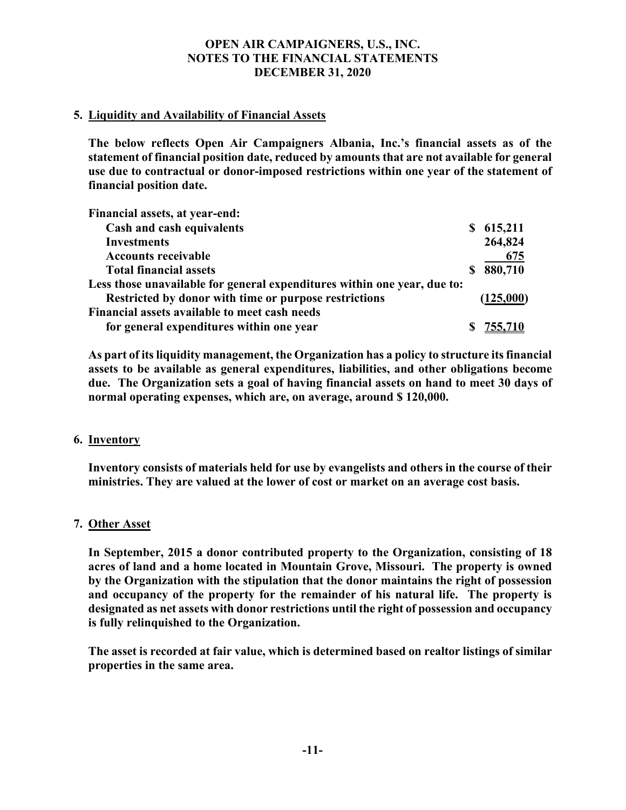# **5. Liquidity and Availability of Financial Assets**

**The below reflects Open Air Campaigners Albania, Inc.'s financial assets as of the statement of financial position date, reduced by amounts that are not available for general use due to contractual or donor-imposed restrictions within one year of the statement of financial position date.**

| Financial assets, at year-end:                                           |    |           |
|--------------------------------------------------------------------------|----|-----------|
| Cash and cash equivalents                                                |    | \$615,211 |
| <b>Investments</b>                                                       |    | 264,824   |
| <b>Accounts receivable</b>                                               |    | 675       |
| <b>Total financial assets</b>                                            | S. | 880,710   |
| Less those unavailable for general expenditures within one year, due to: |    |           |
| Restricted by donor with time or purpose restrictions                    |    | (125,000) |
| Financial assets available to meet cash needs                            |    |           |
| for general expenditures within one year                                 |    |           |

**As part of its liquidity management, the Organization has a policy to structure its financial assets to be available as general expenditures, liabilities, and other obligations become due. The Organization sets a goal of having financial assets on hand to meet 30 days of normal operating expenses, which are, on average, around \$ 120,000.**

# **6. Inventory**

**Inventory consists of materials held for use by evangelists and others in the course of their ministries. They are valued at the lower of cost or market on an average cost basis.**

# **7. Other Asset**

**In September, 2015 a donor contributed property to the Organization, consisting of 18 acres of land and a home located in Mountain Grove, Missouri. The property is owned by the Organization with the stipulation that the donor maintains the right of possession and occupancy of the property for the remainder of his natural life. The property is designated as net assets with donor restrictions until the right of possession and occupancy is fully relinquished to the Organization.**

**The asset is recorded at fair value, which is determined based on realtor listings of similar properties in the same area.**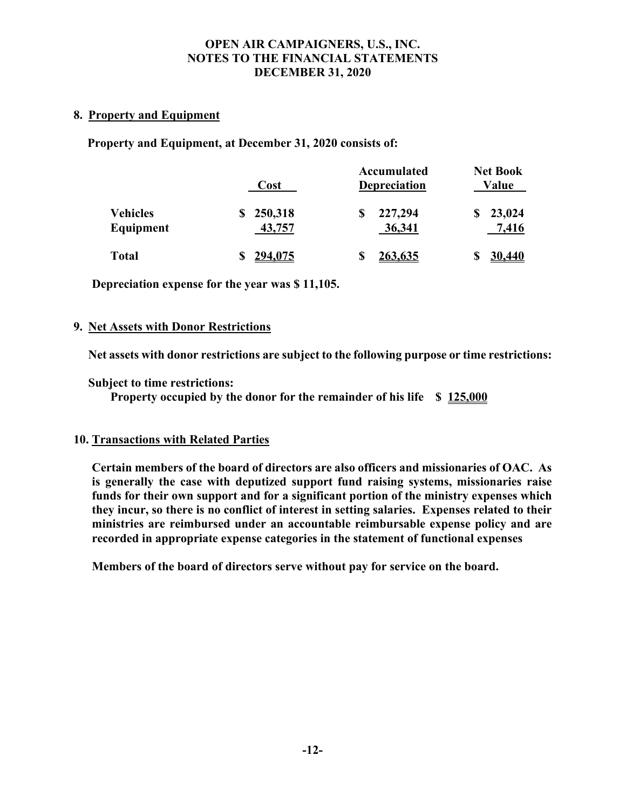# **8. Property and Equipment**

**Property and Equipment, at December 31, 2020 consists of:**

|                              | Cost              | Accumulated<br><b>Depreciation</b> | <b>Net Book</b><br>Value |  |  |
|------------------------------|-------------------|------------------------------------|--------------------------|--|--|
| <b>Vehicles</b><br>Equipment | 250,318<br>43,757 | 227,294<br>36,341                  | 23,024<br>7,416          |  |  |
| <b>Total</b>                 | 294,075           | <u>263,635</u>                     | 30,440                   |  |  |

**Depreciation expense for the year was \$ 11,105.**

# **9. Net Assets with Donor Restrictions**

**Net assets with donor restrictions are subject to the following purpose or time restrictions:**

**Subject to time restrictions:**

**Property occupied by the donor for the remainder of his life \$ 125,000**

# **10. Transactions with Related Parties**

**Certain members of the board of directors are also officers and missionaries of OAC. As is generally the case with deputized support fund raising systems, missionaries raise funds for their own support and for a significant portion of the ministry expenses which they incur, so there is no conflict of interest in setting salaries. Expenses related to their ministries are reimbursed under an accountable reimbursable expense policy and are recorded in appropriate expense categories in the statement of functional expenses**

**Members of the board of directors serve without pay for service on the board.**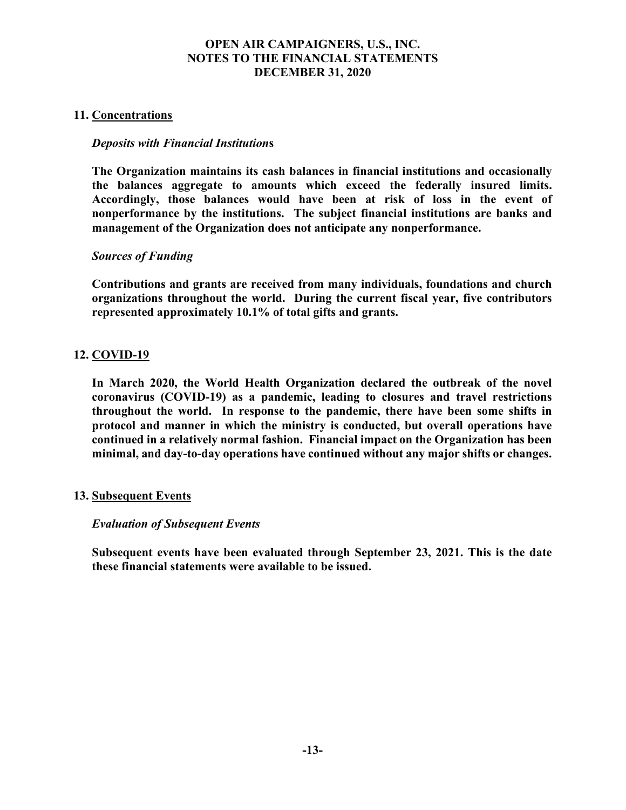# **11. Concentrations**

# *Deposits with Financial Institution***s**

**The Organization maintains its cash balances in financial institutions and occasionally the balances aggregate to amounts which exceed the federally insured limits. Accordingly, those balances would have been at risk of loss in the event of nonperformance by the institutions. The subject financial institutions are banks and management of the Organization does not anticipate any nonperformance.** 

# *Sources of Funding*

**Contributions and grants are received from many individuals, foundations and church organizations throughout the world. During the current fiscal year, five contributors represented approximately 10.1% of total gifts and grants.**

# **12. COVID-19**

**In March 2020, the World Health Organization declared the outbreak of the novel coronavirus (COVID-19) as a pandemic, leading to closures and travel restrictions throughout the world. In response to the pandemic, there have been some shifts in protocol and manner in which the ministry is conducted, but overall operations have continued in a relatively normal fashion. Financial impact on the Organization has been minimal, and day-to-day operations have continued without any major shifts or changes.** 

# **13. Subsequent Events**

# *Evaluation of Subsequent Events*

**Subsequent events have been evaluated through September 23, 2021. This is the date these financial statements were available to be issued.**